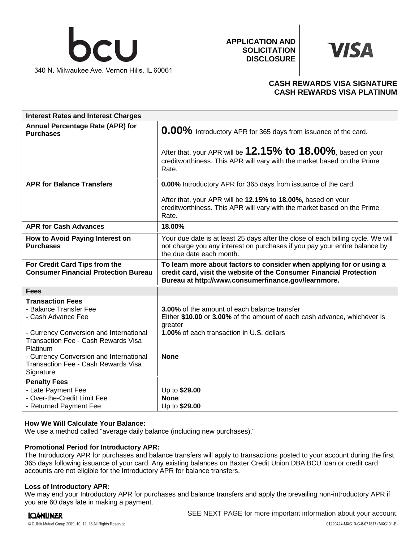

**APPLICATION AND SOLICITATION DISCLOSURE**



# **CASH REWARDS VISA SIGNATURE CASH REWARDS VISA PLATINUM**

| <b>Interest Rates and Interest Charges</b>                                                                                                                                                                                                                                         |                                                                                                                                                                                                    |
|------------------------------------------------------------------------------------------------------------------------------------------------------------------------------------------------------------------------------------------------------------------------------------|----------------------------------------------------------------------------------------------------------------------------------------------------------------------------------------------------|
| <b>Annual Percentage Rate (APR) for</b><br><b>Purchases</b>                                                                                                                                                                                                                        | 0.00% Introductory APR for 365 days from issuance of the card.                                                                                                                                     |
|                                                                                                                                                                                                                                                                                    | After that, your APR will be $12.15\%$ to $18.00\%$ , based on your<br>creditworthiness. This APR will vary with the market based on the Prime<br>Rate.                                            |
| <b>APR for Balance Transfers</b>                                                                                                                                                                                                                                                   | 0.00% Introductory APR for 365 days from issuance of the card.                                                                                                                                     |
|                                                                                                                                                                                                                                                                                    | After that, your APR will be 12.15% to 18.00%, based on your<br>creditworthiness. This APR will vary with the market based on the Prime<br>Rate.                                                   |
| <b>APR for Cash Advances</b>                                                                                                                                                                                                                                                       | 18.00%                                                                                                                                                                                             |
| How to Avoid Paying Interest on<br><b>Purchases</b>                                                                                                                                                                                                                                | Your due date is at least 25 days after the close of each billing cycle. We will<br>not charge you any interest on purchases if you pay your entire balance by<br>the due date each month.         |
| For Credit Card Tips from the<br><b>Consumer Financial Protection Bureau</b>                                                                                                                                                                                                       | To learn more about factors to consider when applying for or using a<br>credit card, visit the website of the Consumer Financial Protection<br>Bureau at http://www.consumerfinance.gov/learnmore. |
| <b>Fees</b>                                                                                                                                                                                                                                                                        |                                                                                                                                                                                                    |
| <b>Transaction Fees</b><br>- Balance Transfer Fee<br>- Cash Advance Fee<br>- Currency Conversion and International<br><b>Transaction Fee - Cash Rewards Visa</b><br>Platinum<br>- Currency Conversion and International<br><b>Transaction Fee - Cash Rewards Visa</b><br>Signature | 3.00% of the amount of each balance transfer<br>Either \$10.00 or 3.00% of the amount of each cash advance, whichever is<br>greater<br>1.00% of each transaction in U.S. dollars<br><b>None</b>    |
| <b>Penalty Fees</b><br>- Late Payment Fee<br>- Over-the-Credit Limit Fee<br>- Returned Payment Fee                                                                                                                                                                                 | Up to \$29.00<br><b>None</b><br>Up to \$29.00                                                                                                                                                      |

### **How We Will Calculate Your Balance:**

We use a method called "average daily balance (including new purchases)."

### **Promotional Period for Introductory APR:**

The Introductory APR for purchases and balance transfers will apply to transactions posted to your account during the first 365 days following issuance of your card. Any existing balances on Baxter Credit Union DBA BCU loan or credit card accounts are not eligible for the Introductory APR for balance transfers.

### **Loss of Introductory APR:**

We may end your Introductory APR for purchases and balance transfers and apply the prevailing non-introductory APR if you are 60 days late in making a payment.